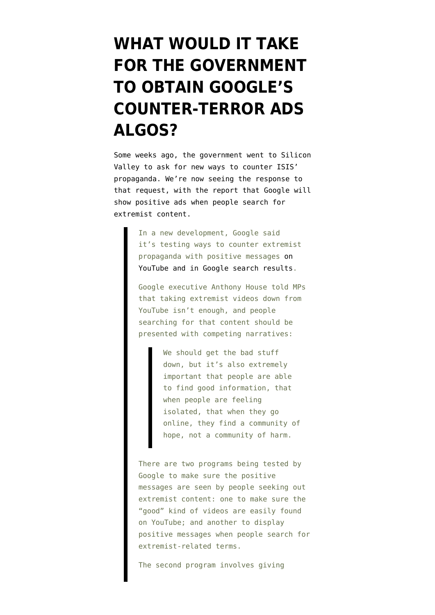## **[WHAT WOULD IT TAKE](https://www.emptywheel.net/2016/02/05/what-would-it-take-for-the-government-to-obtain-googles-counter-terror-ads-algos/) [FOR THE GOVERNMENT](https://www.emptywheel.net/2016/02/05/what-would-it-take-for-the-government-to-obtain-googles-counter-terror-ads-algos/) [TO OBTAIN GOOGLE'S](https://www.emptywheel.net/2016/02/05/what-would-it-take-for-the-government-to-obtain-googles-counter-terror-ads-algos/) [COUNTER-TERROR ADS](https://www.emptywheel.net/2016/02/05/what-would-it-take-for-the-government-to-obtain-googles-counter-terror-ads-algos/) [ALGOS?](https://www.emptywheel.net/2016/02/05/what-would-it-take-for-the-government-to-obtain-googles-counter-terror-ads-algos/)**

Some weeks ago, the government went to Silicon Valley to ask for new ways to counter ISIS' propaganda. We're now seeing the response to that request, with the [report](https://nakedsecurity.sophos.com/2016/02/04/google-plans-to-fight-extremist-propaganda-with-adwords/) that Google will show positive ads when people search for extremist content.

> In a new development, Google said it's testing ways to counter extremist propaganda with positive messages [on](http://www.theguardian.com/uk-news/2016/feb/02/google-pilot-extremist-anti-radicalisation-information) [YouTube and in Google search results.](http://www.theguardian.com/uk-news/2016/feb/02/google-pilot-extremist-anti-radicalisation-information)

Google executive Anthony House told MPs that taking extremist videos down from YouTube isn't enough, and people searching for that content should be presented with competing narratives:

> We should get the bad stuff down, but it's also extremely important that people are able to find good information, that when people are feeling isolated, that when they go online, they find a community of hope, not a community of harm.

There are two programs being tested by Google to make sure the positive messages are seen by people seeking out extremist content: one to make sure the "good" kind of videos are easily found on YouTube; and another to display positive messages when people search for extremist-related terms.

The second program involves giving